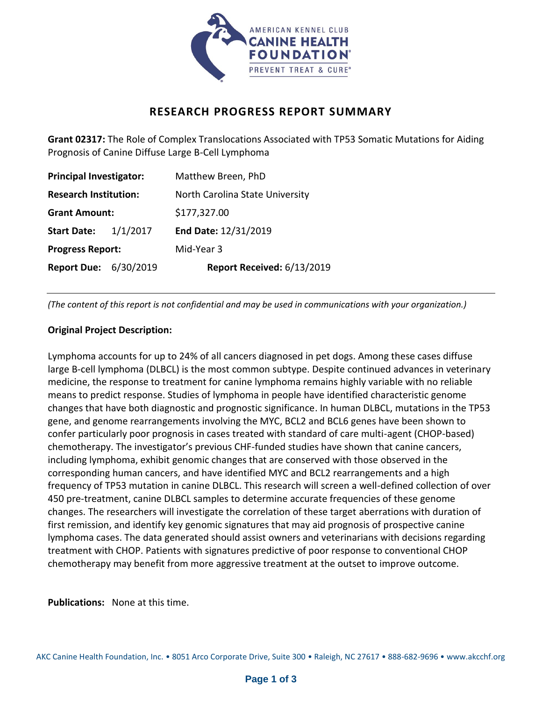

## **RESEARCH PROGRESS REPORT SUMMARY**

**Grant 02317:** The Role of Complex Translocations Associated with TP53 Somatic Mutations for Aiding Prognosis of Canine Diffuse Large B-Cell Lymphoma

| <b>Principal Investigator:</b> |          | Matthew Breen, PhD              |
|--------------------------------|----------|---------------------------------|
| <b>Research Institution:</b>   |          | North Carolina State University |
| <b>Grant Amount:</b>           |          | \$177,327.00                    |
| <b>Start Date:</b>             | 1/1/2017 | End Date: 12/31/2019            |
| <b>Progress Report:</b>        |          | Mid-Year 3                      |
| <b>Report Due: 6/30/2019</b>   |          | Report Received: 6/13/2019      |

*(The content of this report is not confidential and may be used in communications with your organization.)* 

## **Original Project Description:**

Lymphoma accounts for up to 24% of all cancers diagnosed in pet dogs. Among these cases diffuse large B-cell lymphoma (DLBCL) is the most common subtype. Despite continued advances in veterinary medicine, the response to treatment for canine lymphoma remains highly variable with no reliable means to predict response. Studies of lymphoma in people have identified characteristic genome changes that have both diagnostic and prognostic significance. In human DLBCL, mutations in the TP53 gene, and genome rearrangements involving the MYC, BCL2 and BCL6 genes have been shown to confer particularly poor prognosis in cases treated with standard of care multi-agent (CHOP-based) chemotherapy. The investigator's previous CHF-funded studies have shown that canine cancers, including lymphoma, exhibit genomic changes that are conserved with those observed in the corresponding human cancers, and have identified MYC and BCL2 rearrangements and a high frequency of TP53 mutation in canine DLBCL. This research will screen a well-defined collection of over 450 pre-treatment, canine DLBCL samples to determine accurate frequencies of these genome changes. The researchers will investigate the correlation of these target aberrations with duration of first remission, and identify key genomic signatures that may aid prognosis of prospective canine lymphoma cases. The data generated should assist owners and veterinarians with decisions regarding treatment with CHOP. Patients with signatures predictive of poor response to conventional CHOP chemotherapy may benefit from more aggressive treatment at the outset to improve outcome.

**Publications:** None at this time.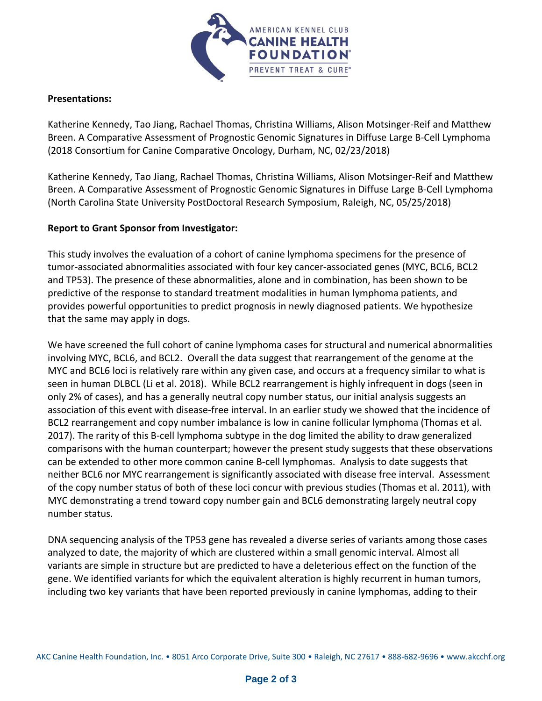

## **Presentations:**

Katherine Kennedy, Tao Jiang, Rachael Thomas, Christina Williams, Alison Motsinger-Reif and Matthew Breen. A Comparative Assessment of Prognostic Genomic Signatures in Diffuse Large B-Cell Lymphoma (2018 Consortium for Canine Comparative Oncology, Durham, NC, 02/23/2018)

Katherine Kennedy, Tao Jiang, Rachael Thomas, Christina Williams, Alison Motsinger-Reif and Matthew Breen. A Comparative Assessment of Prognostic Genomic Signatures in Diffuse Large B-Cell Lymphoma (North Carolina State University PostDoctoral Research Symposium, Raleigh, NC, 05/25/2018)

## **Report to Grant Sponsor from Investigator:**

This study involves the evaluation of a cohort of canine lymphoma specimens for the presence of tumor-associated abnormalities associated with four key cancer-associated genes (MYC, BCL6, BCL2 and TP53). The presence of these abnormalities, alone and in combination, has been shown to be predictive of the response to standard treatment modalities in human lymphoma patients, and provides powerful opportunities to predict prognosis in newly diagnosed patients. We hypothesize that the same may apply in dogs.

We have screened the full cohort of canine lymphoma cases for structural and numerical abnormalities involving MYC, BCL6, and BCL2. Overall the data suggest that rearrangement of the genome at the MYC and BCL6 loci is relatively rare within any given case, and occurs at a frequency similar to what is seen in human DLBCL (Li et al. 2018). While BCL2 rearrangement is highly infrequent in dogs (seen in only 2% of cases), and has a generally neutral copy number status, our initial analysis suggests an association of this event with disease-free interval. In an earlier study we showed that the incidence of BCL2 rearrangement and copy number imbalance is low in canine follicular lymphoma (Thomas et al. 2017). The rarity of this B-cell lymphoma subtype in the dog limited the ability to draw generalized comparisons with the human counterpart; however the present study suggests that these observations can be extended to other more common canine B-cell lymphomas. Analysis to date suggests that neither BCL6 nor MYC rearrangement is significantly associated with disease free interval. Assessment of the copy number status of both of these loci concur with previous studies (Thomas et al. 2011), with MYC demonstrating a trend toward copy number gain and BCL6 demonstrating largely neutral copy number status.

DNA sequencing analysis of the TP53 gene has revealed a diverse series of variants among those cases analyzed to date, the majority of which are clustered within a small genomic interval. Almost all variants are simple in structure but are predicted to have a deleterious effect on the function of the gene. We identified variants for which the equivalent alteration is highly recurrent in human tumors, including two key variants that have been reported previously in canine lymphomas, adding to their